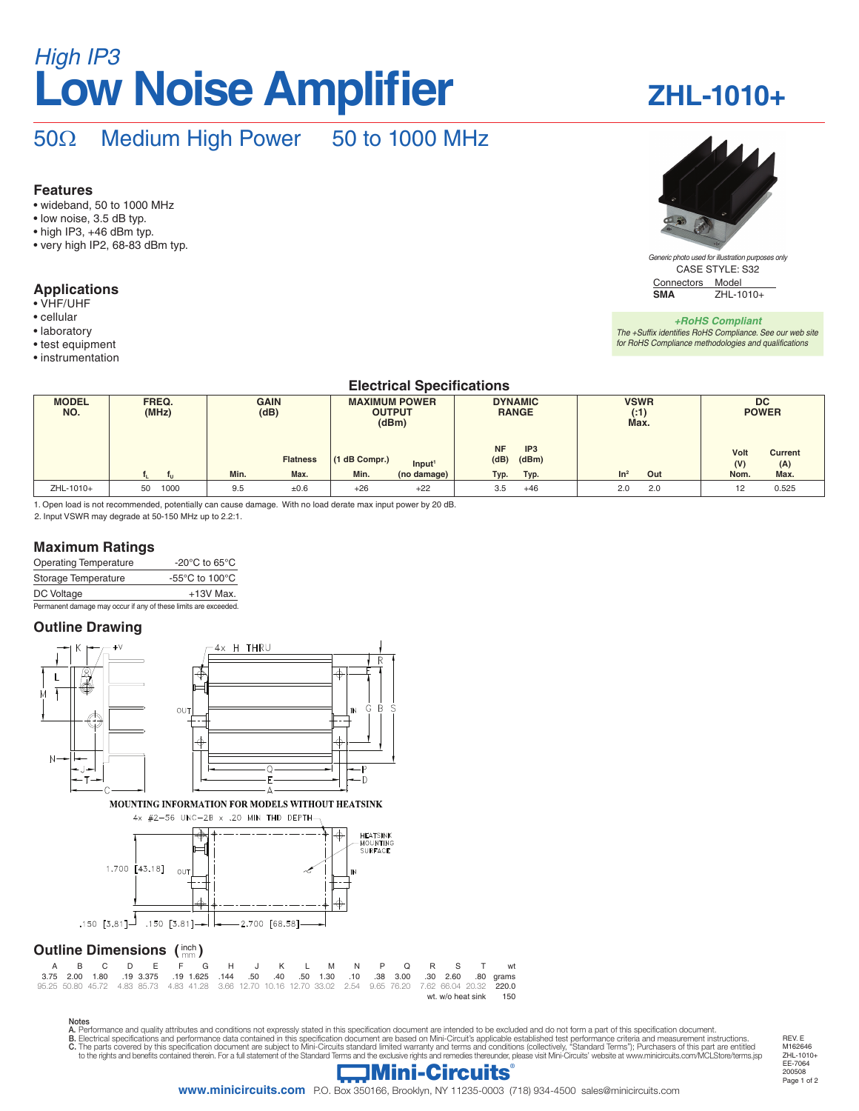# **Low Noise Amplifier** *High IP3*

## **ZHL-1010+**

## 50Ω Medium High Power 50 to 1000 MHz

#### **Features**

- wideband, 50 to 1000 MHz
- low noise, 3.5 dB typ.
- high IP3, +46 dBm typ.
- very high IP2, 68-83 dBm typ.

#### **Applications**

- VHF/UHF
- cellular
- laboratory
- test equipment
- instrumentation

#### **Electrical Specifications**

| <b>MODEL</b><br>NO. | FREQ.<br>(MHz) | <b>GAIN</b><br>(dB) | <b>MAXIMUM POWER</b><br><b>OUTPUT</b><br>(dBm) | <b>DYNAMIC</b><br><b>RANGE</b>                | <b>VSWR</b><br>(1)<br>Max. | <b>DC</b><br><b>POWER</b>            |  |  |
|---------------------|----------------|---------------------|------------------------------------------------|-----------------------------------------------|----------------------------|--------------------------------------|--|--|
|                     |                | <b>Flatness</b>     | (1 dB Compr.)<br>Input <sup>1</sup>            | <b>NF</b><br>IP <sub>3</sub><br>(dB)<br>(dBm) |                            | Volt<br><b>Current</b><br>(V)<br>(A) |  |  |
|                     |                | Min.<br>Max.        | Min.<br>(no damage)                            | Typ.<br>Typ.                                  | Out<br>In <sup>2</sup>     | Nom.<br>Max.                         |  |  |
| ZHL-1010+           | 1000<br>50     | 9.5<br>±0.6         | $+26$<br>$+22$                                 | 3.5<br>$+46$                                  | 2.0<br>2.0                 | 0.525<br>12                          |  |  |

1. Open load is not recommended, potentially can cause damage. With no load derate max input power by 20 dB.

2. Input VSWR may degrade at 50-150 MHz up to 2.2:1.

#### **Maximum Ratings**

| <b>Operating Temperature</b> | -20 $^{\circ}$ C to 65 $^{\circ}$ C                  |
|------------------------------|------------------------------------------------------|
| Storage Temperature          | -55 $\mathrm{^{\circ}C}$ to 100 $\mathrm{^{\circ}C}$ |
| DC Voltage                   | $+13V$ Max.                                          |
|                              |                                                      |

Permanent damage may occur if any of these limits are exceeded.

#### **Outline Drawing**



|                       |  |  |  | A B C D E F G H J K L M N P O R S T wt                                                                      |  |  |  |  |  |  |
|-----------------------|--|--|--|-------------------------------------------------------------------------------------------------------------|--|--|--|--|--|--|
|                       |  |  |  |                                                                                                             |  |  |  |  |  |  |
|                       |  |  |  | 95.25 50.80 45.72 4.83 85.73 4.83 41.28 3.66 12.70 10.16 12.70 33.02 2.54 9.65 76.20 7.62 66.04 20.32 220.0 |  |  |  |  |  |  |
| wt. w/o heat sink 150 |  |  |  |                                                                                                             |  |  |  |  |  |  |

Notes<br>A. Performance and quality attributes and conditions not expressly stated in this specification document are intended to be excluded and do not form a part of this specification document.<br>B. Electrical specifications



Connectors Model<br>
SMA<br>
7HI-1 **SMA** ZHL-1010+ CASE STYLE: S32 *Generic photo used for illustration purposes only*

*+RoHS Compliant The +Suffix identifies RoHS Compliance. See our web site for RoHS Compliance methodologies and qualifications*



REV. E M<sub>162646</sub>

**www.minicircuits.com** P.O. Box 350166, Brooklyn, NY 11235-0003 (718) 934-4500 sales@minicircuits.com